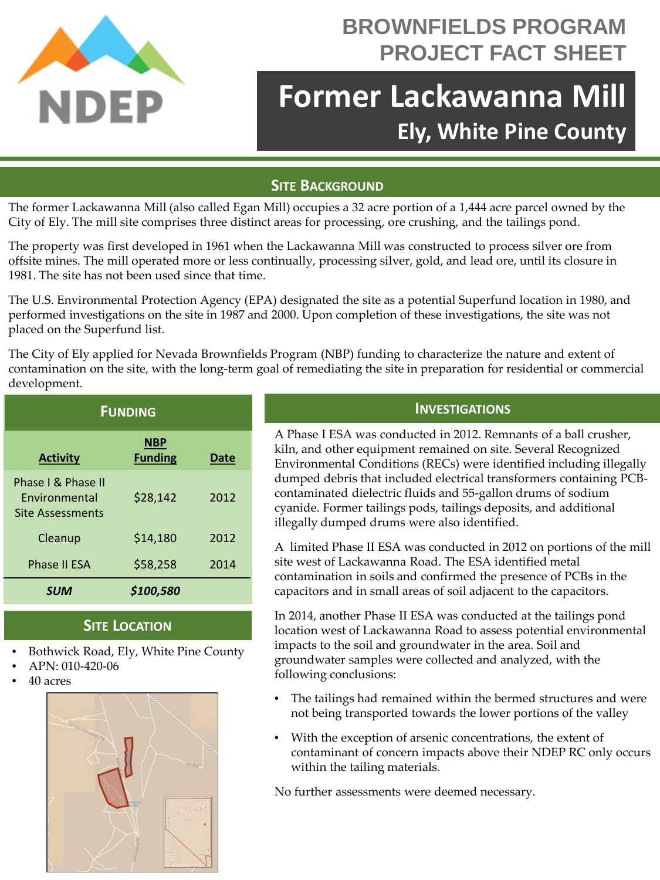

# **BROWNFIELDS PROGRAM PROJECT FACT SHEET**

# **Former Lackawanna Mill Ely, White Pine County**

## **SITE BACKGROUND**

The former Lackawanna Mill (also called Egan Mill) occupies a 32 acre portion of a 1,444 acre parcel owned by the City of Ely. The mill site comprises three distinct areas for processing, ore crushing, and the tailings pond.

The property was first developed in 1961 when the Lackawanna Mill was constructed to process silver ore from offsite mines. The mill operated more or less continually, processing silver, gold, and lead ore, until its closure in 1981. The site has not been used since that time.

The U.S. Environmental Protection Agency (EPA) designated the site as a potential Superfund location in 1980, and performed investigations on the site in 1987 and 2000. Upon completion of these investigations, the site was not placed on the Superfund list.

The City of Ely applied for Nevada Brownfields Program (NBP) funding to characterize the nature and extent of contamination on the site, with the long-term goal of remediating the site in preparation for residential or commercial development.

| <b>FUNDING</b>                                                        |                              |             |
|-----------------------------------------------------------------------|------------------------------|-------------|
| <b>Activity</b>                                                       | <b>NBP</b><br><b>Funding</b> | <b>Date</b> |
| Phase I & Phase II<br><b>Fnvironmental</b><br><b>Site Assessments</b> | \$28,142                     | 2012        |
| Cleanup                                                               | \$14,180                     | 2012        |
| <b>Phase II ESA</b>                                                   | \$58,258                     | 2014        |
| <b>SUM</b>                                                            | \$100,580                    |             |

### **SITE LOCATION**

- Bothwick Road, Ely, White Pine County
- APN: 010-420-06
- 40 acres



### **INVESTIGATIONS**

A Phase I ESA was conducted in 2012. Remnants of a ball crusher, kiln, and other equipment remained on site. Several Recognized Environmental Conditions (RECs) were identified including illegally dumped debris that included electrical transformers containing PCBcontaminated dielectric fluids and 55-gallon drums of sodium cyanide. Former tailings pods, tailings deposits, and additional illegally dumped drums were also identified.

A limited Phase II ESA was conducted in 2012 on portions of the mill site west of Lackawanna Road. The ESA identified metal contamination in soils and confirmed the presence of PCBs in the capacitors and in small areas of soil adjacent to the capacitors.

In 2014, another Phase II ESA was conducted at the tailings pond location west of Lackawanna Road to assess potential environmental impacts to the soil and groundwater in the area. Soil and groundwater samples were collected and analyzed, with the following conclusions:

- The tailings had remained within the bermed structures and were not being transported towards the lower portions of the valley
- With the exception of arsenic concentrations, the extent of contaminant of concern impacts above their NDEP RC only occurs within the tailing materials.

No further assessments were deemed necessary.